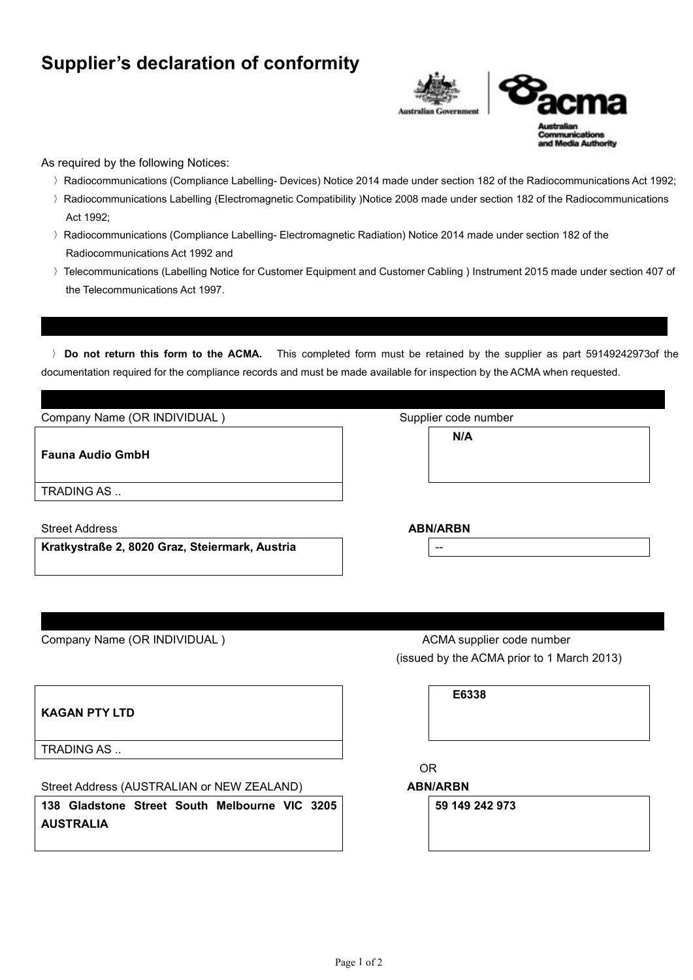## **Supplier's declaration of conformity**

I**nstructions for completion**



**Luthority** 

As required by the following Notices:

- 〉Radiocommunications (Compliance Labelling- Devices) Notice 2014 made under section 182 of the Radiocommunications Act 1992;
- 〉Radiocommunications Labelling (Electromagnetic Compatibility )Notice 2008 made under section 182 of the Radiocommunications Act 1992;
- 〉Radiocommunications (Compliance Labelling- Electromagnetic Radiation) Notice 2014 made under section 182 of the Radiocommunications Act 1992 and
- 〉Telecommunications (Labelling Notice for Customer Equipment and Customer Cabling ) Instrument 2015 made under section 407 of the Telecommunications Act 1997.

〉 **Do not return this form to the ACMA.** This completed form must be retained by the supplier as part 59149242973of the documentation required for the compliance records and must be made available for inspection by the ACMA when requested.

| Company Name (OR INDIVIDUAL) | Supplier code number |  |
|------------------------------|----------------------|--|
| <b>Fauna Audio GmbH</b>      | N/A                  |  |
| TRADING AS                   |                      |  |
| <b>Street Address</b>        | <b>ABN/ARBN</b>      |  |

**Kratkystraße 2, 8020 Graz, Steiermark, Austria** --

Company Name (OR INDIVIDUAL ) ACMA supplier code number

(issued by the ACMA prior to 1 March 2013)

**E6338**

**KAGAN PTY LTD**

TRADING AS ..

Street Address (AUSTRALIAN or NEW ZEALAND) **ABN/ARBN**

**138 Gladstone Street South Melbourne VIC 3205 AUSTRALIA**

OR

**59 149 242 973**